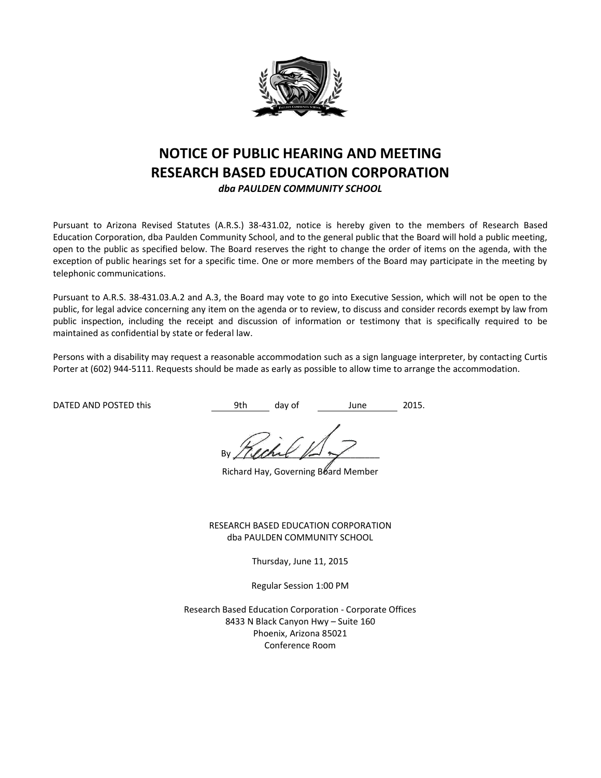

# **NOTICE OF PUBLIC HEARING AND MEETING RESEARCH BASED EDUCATION CORPORATION**

*dba PAULDEN COMMUNITY SCHOOL*

Pursuant to Arizona Revised Statutes (A.R.S.) 38-431.02, notice is hereby given to the members of Research Based Education Corporation, dba Paulden Community School, and to the general public that the Board will hold a public meeting, open to the public as specified below. The Board reserves the right to change the order of items on the agenda, with the exception of public hearings set for a specific time. One or more members of the Board may participate in the meeting by telephonic communications.

Pursuant to A.R.S. 38-431.03.A.2 and A.3, the Board may vote to go into Executive Session, which will not be open to the public, for legal advice concerning any item on the agenda or to review, to discuss and consider records exempt by law from public inspection, including the receipt and discussion of information or testimony that is specifically required to be maintained as confidential by state or federal law.

Persons with a disability may request a reasonable accommodation such as a sign language interpreter, by contacting Curtis Porter at (602) 944-5111. Requests should be made as early as possible to allow time to arrange the accommodation.

DATED AND POSTED this **19th** day of 1 June 2015.

By / (land  $\mathbb{R}$ 

Richard Hay, Governing Board Member

RESEARCH BASED EDUCATION CORPORATION dba PAULDEN COMMUNITY SCHOOL

Thursday, June 11, 2015

Regular Session 1:00 PM

Research Based Education Corporation - Corporate Offices 8433 N Black Canyon Hwy – Suite 160 Phoenix, Arizona 85021 Conference Room